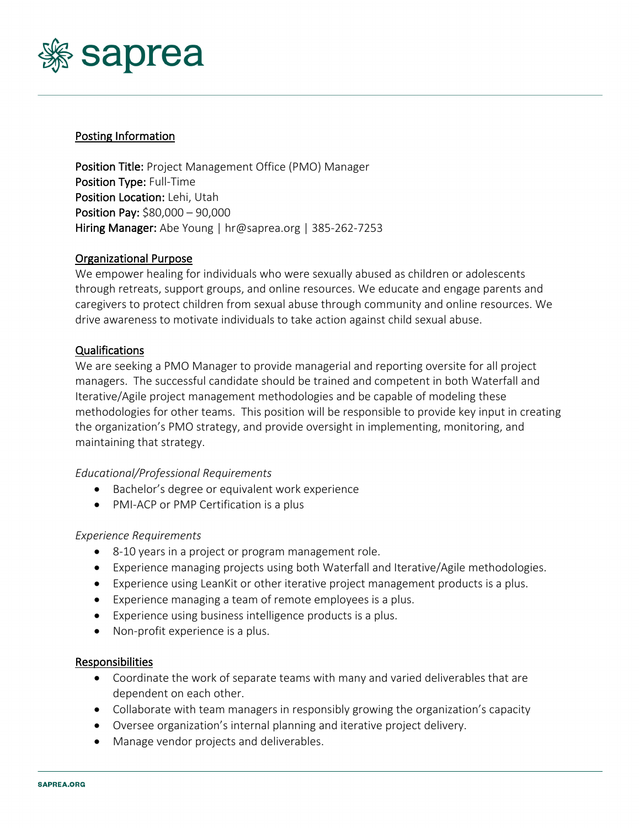

### Posting Information

Position Title: Project Management Office (PMO) Manager Position Type: Full-Time Position Location: Lehi, Utah Position Pay: \$80,000 – 90,000 Hiring Manager: Abe Young | hr@saprea.org | 385-262-7253

### Organizational Purpose

We empower healing for individuals who were sexually abused as children or adolescents through retreats, support groups, and online resources. We educate and engage parents and caregivers to protect children from sexual abuse through community and online resources. We drive awareness to motivate individuals to take action against child sexual abuse.

# Qualifications

We are seeking a PMO Manager to provide managerial and reporting oversite for all project managers. The successful candidate should be trained and competent in both Waterfall and Iterative/Agile project management methodologies and be capable of modeling these methodologies for other teams. This position will be responsible to provide key input in creating the organization's PMO strategy, and provide oversight in implementing, monitoring, and maintaining that strategy.

#### *Educational/Professional Requirements*

- Bachelor's degree or equivalent work experience
- PMI-ACP or PMP Certification is a plus

#### *Experience Requirements*

- 8-10 years in a project or program management role.
- Experience managing projects using both Waterfall and Iterative/Agile methodologies.
- Experience using LeanKit or other iterative project management products is a plus.
- Experience managing a team of remote employees is a plus.
- Experience using business intelligence products is a plus.
- Non-profit experience is a plus.

#### Responsibilities

- Coordinate the work of separate teams with many and varied deliverables that are dependent on each other.
- Collaborate with team managers in responsibly growing the organization's capacity
- Oversee organization's internal planning and iterative project delivery.
- Manage vendor projects and deliverables.